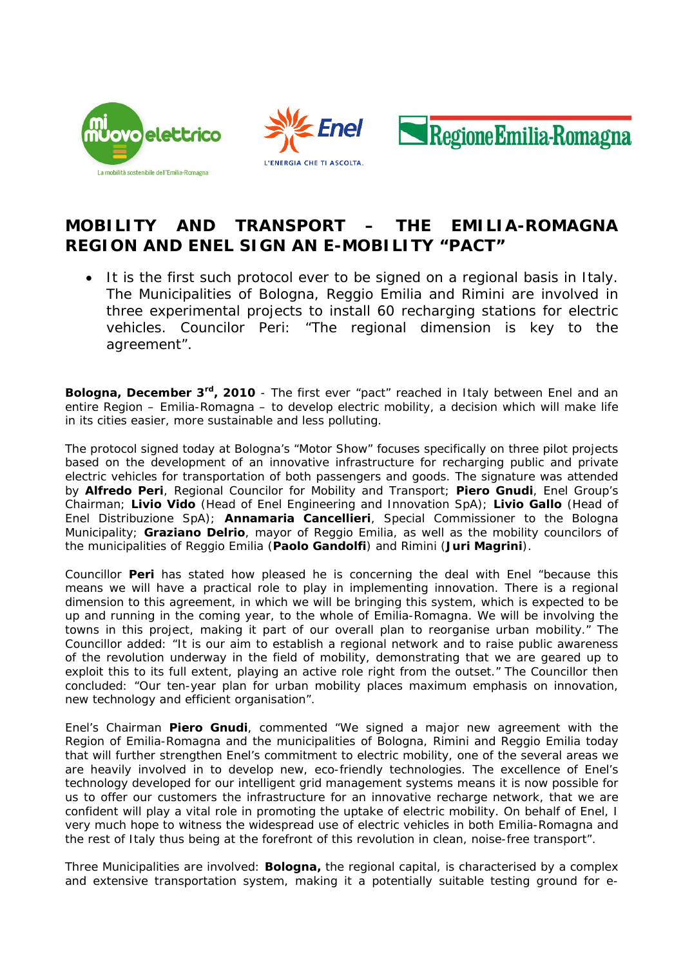





## **MOBILITY AND TRANSPORT – THE EMILIA-ROMAGNA REGION AND ENEL SIGN AN E-MOBILITY "PACT"**

• *It is the first such protocol ever to be signed on a regional basis in Italy. The Municipalities of Bologna, Reggio Emilia and Rimini are involved in three experimental projects to install 60 recharging stations for electric vehicles. Councilor Peri: "The regional dimension is key to the agreement".* 

**Bologna, December 3rd, 2010** - The first ever "pact" reached in Italy between Enel and an entire Region – Emilia-Romagna – to develop electric mobility, a decision which will make life in its cities easier, more sustainable and less polluting.

The protocol signed today at Bologna's "Motor Show" focuses specifically on three pilot projects based on the development of an innovative infrastructure for recharging public and private electric vehicles for transportation of both passengers and goods. The signature was attended by **Alfredo Peri**, Regional Councilor for Mobility and Transport; **Piero Gnudi**, Enel Group's Chairman; **Livio Vido** (Head of Enel Engineering and Innovation SpA); **Livio Gallo** (Head of Enel Distribuzione SpA); **Annamaria Cancellieri**, Special Commissioner to the Bologna Municipality; **Graziano Delrio**, mayor of Reggio Emilia, as well as the mobility councilors of the municipalities of Reggio Emilia (**Paolo Gandolfi**) and Rimini (**Juri Magrini**).

Councillor **Peri** has stated how pleased he is concerning the deal with Enel "because this means we will have a practical role to play in implementing innovation. There is a regional dimension to this agreement, in which we will be bringing this system, which is expected to be up and running in the coming year, to the whole of Emilia-Romagna. We will be involving the towns in this project, making it part of our overall plan to reorganise urban mobility." The Councillor added: "It is our aim to establish a regional network and to raise public awareness of the revolution underway in the field of mobility, demonstrating that we are geared up to exploit this to its full extent, playing an active role right from the outset." The Councillor then concluded: "Our ten-year plan for urban mobility places maximum emphasis on innovation, new technology and efficient organisation".

Enel's Chairman **Piero Gnudi**, commented "We signed a major new agreement with the Region of Emilia-Romagna and the municipalities of Bologna, Rimini and Reggio Emilia today that will further strengthen Enel's commitment to electric mobility, one of the several areas we are heavily involved in to develop new, eco-friendly technologies. The excellence of Enel's technology developed for our intelligent grid management systems means it is now possible for us to offer our customers the infrastructure for an innovative recharge network, that we are confident will play a vital role in promoting the uptake of electric mobility. On behalf of Enel, I very much hope to witness the widespread use of electric vehicles in both Emilia-Romagna and the rest of Italy thus being at the forefront of this revolution in clean, noise-free transport".

Three Municipalities are involved: **Bologna,** the regional capital, is characterised by a complex and extensive transportation system, making it a potentially suitable testing ground for e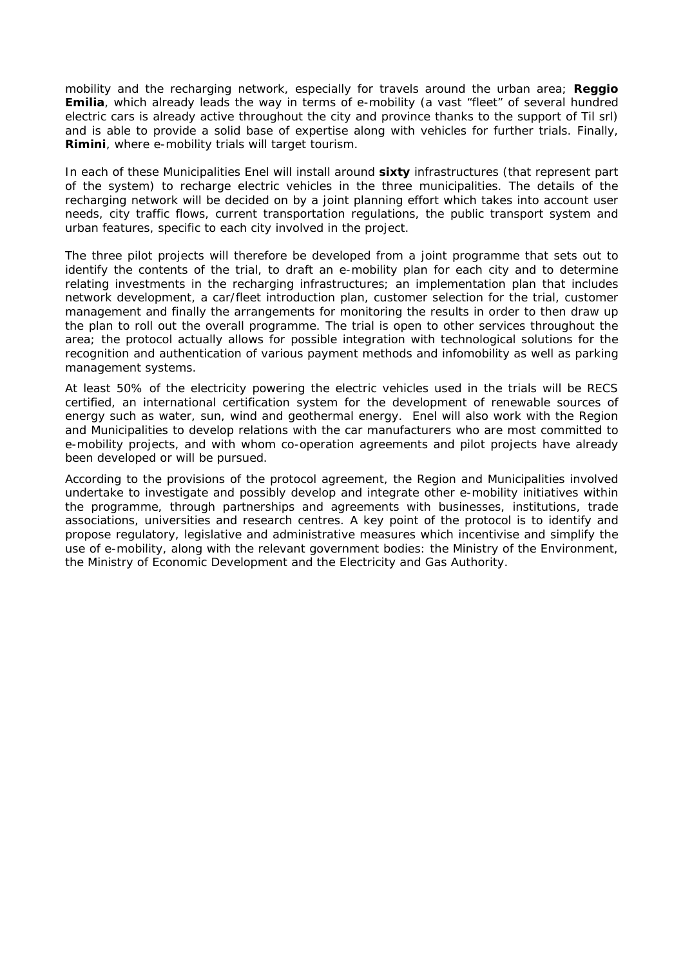mobility and the recharging network, especially for travels around the urban area; **Reggio Emilia**, which already leads the way in terms of e-mobility (a vast "fleet" of several hundred electric cars is already active throughout the city and province thanks to the support of Til srl) and is able to provide a solid base of expertise along with vehicles for further trials. Finally, **Rimini**, where e-mobility trials will target tourism.

In each of these Municipalities Enel will install around **sixty** infrastructures (that represent part of the system) to recharge electric vehicles in the three municipalities. The details of the recharging network will be decided on by a joint planning effort which takes into account user needs, city traffic flows, current transportation regulations, the public transport system and urban features, specific to each city involved in the project.

The three pilot projects will therefore be developed from a joint programme that sets out to identify the contents of the trial, to draft an e-mobility plan for each city and to determine relating investments in the recharging infrastructures; an implementation plan that includes network development, a car/fleet introduction plan, customer selection for the trial, customer management and finally the arrangements for monitoring the results in order to then draw up the plan to roll out the overall programme. The trial is open to other services throughout the area; the protocol actually allows for possible integration with technological solutions for the recognition and authentication of various payment methods and infomobility as well as parking management systems.

At least 50% of the electricity powering the electric vehicles used in the trials will be RECS certified, an international certification system for the development of renewable sources of energy such as water, sun, wind and geothermal energy. Enel will also work with the Region and Municipalities to develop relations with the car manufacturers who are most committed to e-mobility projects, and with whom co-operation agreements and pilot projects have already been developed or will be pursued.

According to the provisions of the protocol agreement, the Region and Municipalities involved undertake to investigate and possibly develop and integrate other e-mobility initiatives within the programme, through partnerships and agreements with businesses, institutions, trade associations, universities and research centres. A key point of the protocol is to identify and propose regulatory, legislative and administrative measures which incentivise and simplify the use of e-mobility, along with the relevant government bodies: the Ministry of the Environment, the Ministry of Economic Development and the Electricity and Gas Authority.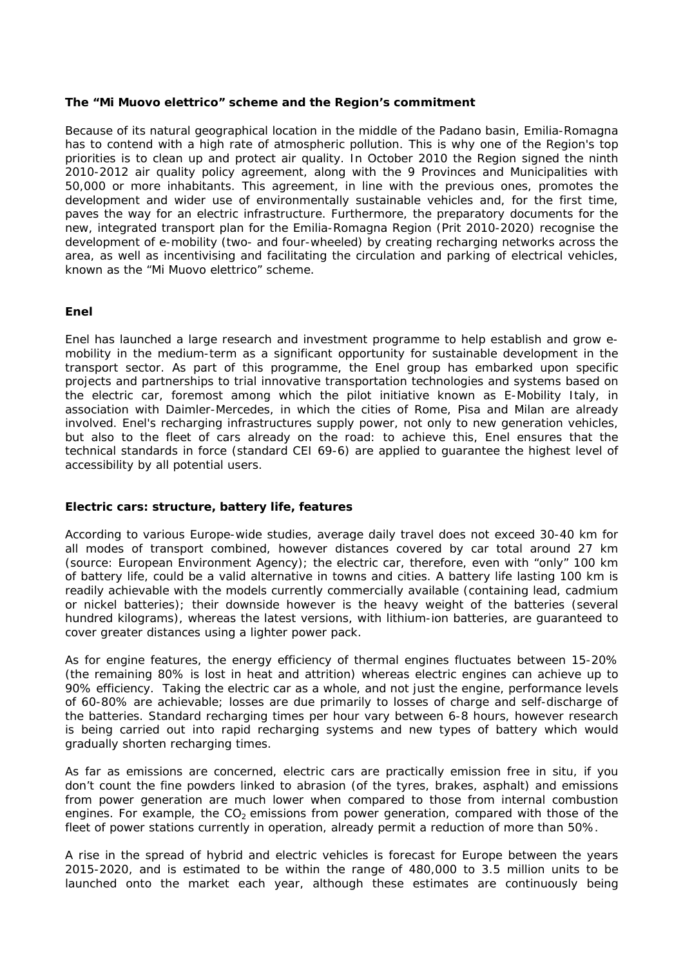## **The "Mi Muovo elettrico" scheme and the Region's commitment**

Because of its natural geographical location in the middle of the Padano basin, Emilia-Romagna has to contend with a high rate of atmospheric pollution. This is why one of the Region's top priorities is to clean up and protect air quality. In October 2010 the Region signed the ninth 2010-2012 air quality policy agreement, along with the 9 Provinces and Municipalities with 50,000 or more inhabitants. This agreement, in line with the previous ones, promotes the development and wider use of environmentally sustainable vehicles and, for the first time, paves the way for an electric infrastructure. Furthermore, the preparatory documents for the new, integrated transport plan for the Emilia-Romagna Region (Prit 2010-2020) recognise the development of e-mobility (two- and four-wheeled) by creating recharging networks across the area, as well as incentivising and facilitating the circulation and parking of electrical vehicles, known as the "Mi Muovo elettrico" scheme.

## **Enel**

Enel has launched a large research and investment programme to help establish and grow emobility in the medium-term as a significant opportunity for sustainable development in the transport sector. As part of this programme, the Enel group has embarked upon specific projects and partnerships to trial innovative transportation technologies and systems based on the electric car, foremost among which the pilot initiative known as E-Mobility Italy, in association with Daimler-Mercedes, in which the cities of Rome, Pisa and Milan are already involved. Enel's recharging infrastructures supply power, not only to new generation vehicles, but also to the fleet of cars already on the road: to achieve this, Enel ensures that the technical standards in force (standard CEI 69-6) are applied to guarantee the highest level of accessibility by all potential users.

## **Electric cars: structure, battery life, features**

According to various Europe-wide studies, average daily travel does not exceed 30-40 km for all modes of transport combined, however distances covered by car total around 27 km (source: European Environment Agency); the electric car, therefore, even with "only" 100 km of battery life, could be a valid alternative in towns and cities. A battery life lasting 100 km is readily achievable with the models currently commercially available (containing lead, cadmium or nickel batteries); their downside however is the heavy weight of the batteries (several hundred kilograms), whereas the latest versions, with lithium-ion batteries, are guaranteed to cover greater distances using a lighter power pack.

As for engine features, the energy efficiency of thermal engines fluctuates between 15-20% (the remaining 80% is lost in heat and attrition) whereas electric engines can achieve up to 90% efficiency. Taking the electric car as a whole, and not just the engine, performance levels of 60-80% are achievable; losses are due primarily to losses of charge and self-discharge of the batteries. Standard recharging times per hour vary between 6-8 hours, however research is being carried out into rapid recharging systems and new types of battery which would gradually shorten recharging times.

As far as emissions are concerned, electric cars are practically emission free in situ, if you don't count the fine powders linked to abrasion (of the tyres, brakes, asphalt) and emissions from power generation are much lower when compared to those from internal combustion engines. For example, the  $CO<sub>2</sub>$  emissions from power generation, compared with those of the fleet of power stations currently in operation, already permit a reduction of more than 50%.

A rise in the spread of hybrid and electric vehicles is forecast for Europe between the years 2015-2020, and is estimated to be within the range of 480,000 to 3.5 million units to be launched onto the market each year, although these estimates are continuously being